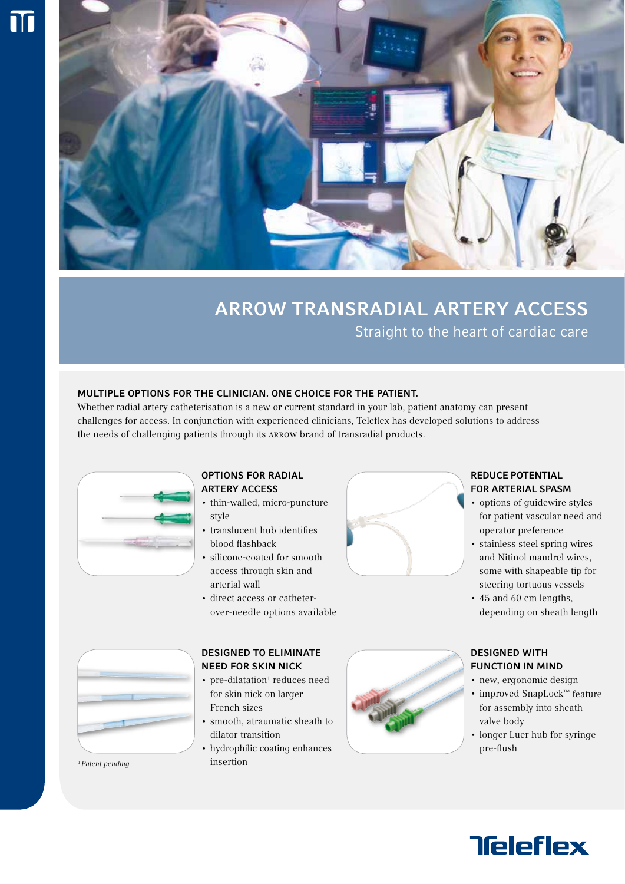

# ARROW TRANSRADIAL ARTERY ACCESS Straight to the heart of cardiac care

# MULTIPLE OPTIONS FOR THE CLINICIAN. ONE CHOICE FOR THE PATIENT.

Whether radial artery catheterisation is a new or current standard in your lab, patient anatomy can present challenges for access. In conjunction with experienced clinicians, Teleflex has developed solutions to address the needs of challenging patients through its Arrow brand of transradial products.

## OPTIONS FOR RADIAL ARTERY ACCESS

- thin-walled, micro-puncture style
- translucent hub identifies blood flashback
- silicone-coated for smooth access through skin and arterial wall
- direct access or catheterover-needle options available



# REDUCE POTENTIAL FOR ARTERIAL SPASM

- options of guidewire styles for patient vascular need and operator preference
- stainless steel spring wires and Nitinol mandrel wires, some with shapeable tip for steering tortuous vessels
- 45 and 60 cm lengths, depending on sheath length



## DESIGNED WITH FUNCTION IN MIND

- new, ergonomic design
- improved SnapLock™ feature for assembly into sheath valve body
- longer Luer hub for syringe pre-flush



*1 Patent pending*

# DESIGNED TO ELIMINATE NEED FOR SKIN NICK

- pre-dilatation<sup>1</sup> reduces need for skin nick on larger French sizes
- smooth, atraumatic sheath to dilator transition
- hydrophilic coating enhances insertion